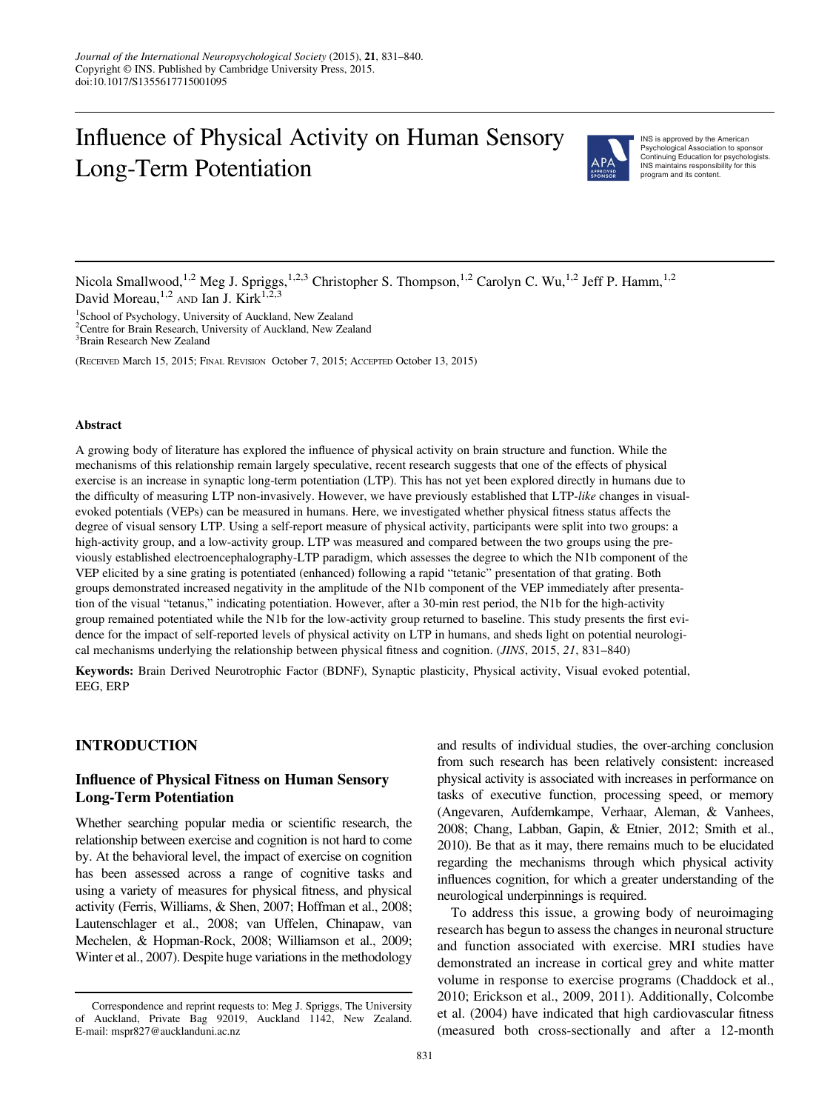# Influence of Physical Activity on Human Sensory Long-Term Potentiation



INS is approved by the American Psychological Association to sponsor Continuing Education for psychologists. INS maintains responsibility for this program and its content.

Nicola Smallwood,<sup>1,2</sup> Meg J. Spriggs,<sup>1,2,3</sup> Christopher S. Thompson,<sup>1,2</sup> Carolyn C. Wu,<sup>1,2</sup> Jeff P. Hamm,<sup>1,2</sup> David Moreau,<sup>1,2</sup> AND Ian J. Kirk<sup>1,2</sup>

<sup>1</sup>School of Psychology, University of Auckland, New Zealand 2 Centre for Brain Research, University of Auckland, New Zealand 3 Brain Research New Zealand

(RECEIVED March 15, 2015; FINAL REVISION October 7, 2015; ACCEPTED October 13, 2015)

#### Abstract

A growing body of literature has explored the influence of physical activity on brain structure and function. While the mechanisms of this relationship remain largely speculative, recent research suggests that one of the effects of physical exercise is an increase in synaptic long-term potentiation (LTP). This has not yet been explored directly in humans due to the difficulty of measuring LTP non-invasively. However, we have previously established that LTP-like changes in visualevoked potentials (VEPs) can be measured in humans. Here, we investigated whether physical fitness status affects the degree of visual sensory LTP. Using a self-report measure of physical activity, participants were split into two groups: a high-activity group, and a low-activity group. LTP was measured and compared between the two groups using the previously established electroencephalography-LTP paradigm, which assesses the degree to which the N1b component of the VEP elicited by a sine grating is potentiated (enhanced) following a rapid "tetanic" presentation of that grating. Both groups demonstrated increased negativity in the amplitude of the N1b component of the VEP immediately after presentation of the visual "tetanus," indicating potentiation. However, after a 30-min rest period, the N1b for the high-activity group remained potentiated while the N1b for the low-activity group returned to baseline. This study presents the first evidence for the impact of self-reported levels of physical activity on LTP in humans, and sheds light on potential neurological mechanisms underlying the relationship between physical fitness and cognition. (JINS, 2015, 21, 831–840)

Keywords: Brain Derived Neurotrophic Factor (BDNF), Synaptic plasticity, Physical activity, Visual evoked potential, EEG, ERP

## INTRODUCTION

# Influence of Physical Fitness on Human Sensory Long-Term Potentiation

Whether searching popular media or scientific research, the relationship between exercise and cognition is not hard to come by. At the behavioral level, the impact of exercise on cognition has been assessed across a range of cognitive tasks and using a variety of measures for physical fitness, and physical activity (Ferris, Williams, & Shen, [2007;](#page-8-0) Hoffman et al., [2008](#page-8-0); Lautenschlager et al., [2008](#page-8-0); van Uffelen, Chinapaw, van Mechelen, & Hopman-Rock, [2008](#page-9-0); Williamson et al., [2009](#page-9-0); Winter et al., [2007](#page-9-0)). Despite huge variations in the methodology

and results of individual studies, the over-arching conclusion from such research has been relatively consistent: increased physical activity is associated with increases in performance on tasks of executive function, processing speed, or memory (Angevaren, Aufdemkampe, Verhaar, Aleman, & Vanhees, [2008](#page-7-0); Chang, Labban, Gapin, & Etnier, [2012](#page-7-0); Smith et al., [2010](#page-9-0)). Be that as it may, there remains much to be elucidated regarding the mechanisms through which physical activity influences cognition, for which a greater understanding of the neurological underpinnings is required.

To address this issue, a growing body of neuroimaging research has begun to assess the changes in neuronal structure and function associated with exercise. MRI studies have demonstrated an increase in cortical grey and white matter volume in response to exercise programs (Chaddock et al., [2010;](#page-7-0) Erickson et al., [2009](#page-7-0), [2011\)](#page-8-0). Additionally, Colcombe et al. [\(2004](#page-7-0)) have indicated that high cardiovascular fitness (measured both cross-sectionally and after a 12-month

Correspondence and reprint requests to: Meg J. Spriggs, The University of Auckland, Private Bag 92019, Auckland 1142, New Zealand. E-mail: mspr827@aucklanduni.ac.nz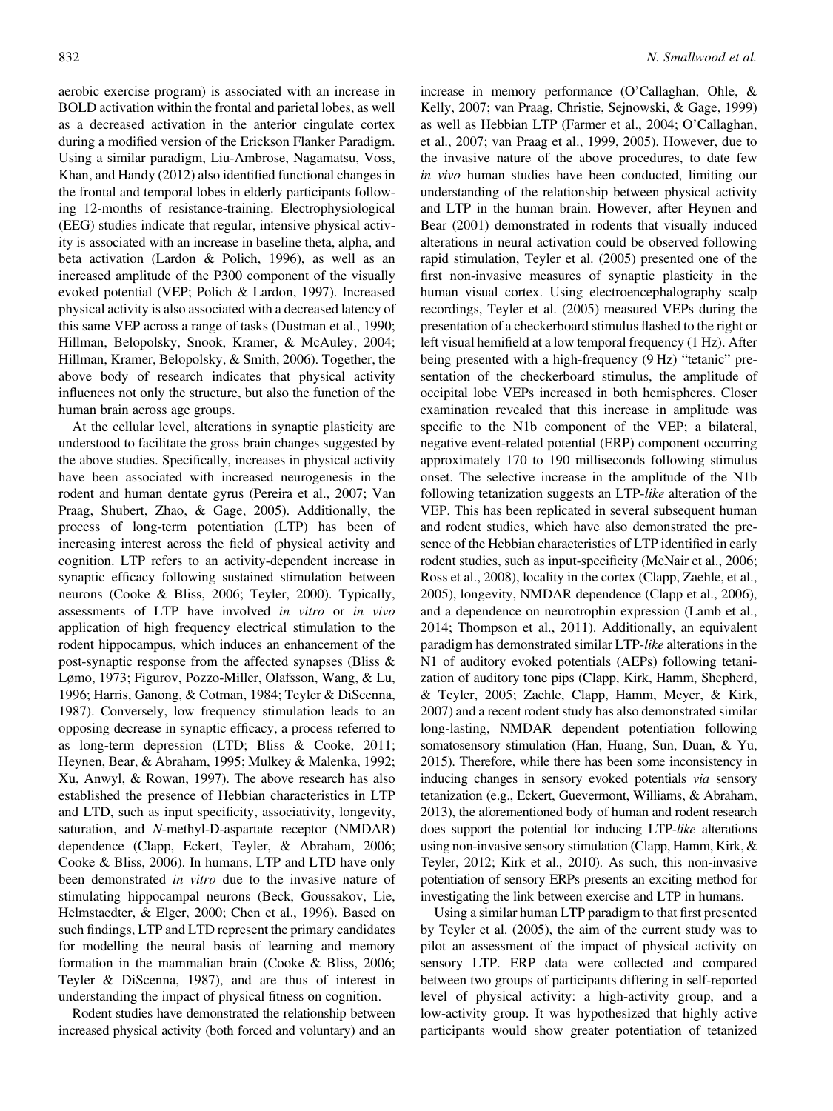aerobic exercise program) is associated with an increase in BOLD activation within the frontal and parietal lobes, as well as a decreased activation in the anterior cingulate cortex during a modified version of the Erickson Flanker Paradigm. Using a similar paradigm, Liu-Ambrose, Nagamatsu, Voss, Khan, and Handy ([2012\)](#page-8-0) also identified functional changes in the frontal and temporal lobes in elderly participants following 12-months of resistance-training. Electrophysiological (EEG) studies indicate that regular, intensive physical activity is associated with an increase in baseline theta, alpha, and beta activation (Lardon & Polich, [1996\)](#page-8-0), as well as an increased amplitude of the P300 component of the visually evoked potential (VEP; Polich & Lardon, [1997\)](#page-9-0). Increased physical activity is also associated with a decreased latency of this same VEP across a range of tasks (Dustman et al., [1990](#page-7-0); Hillman, Belopolsky, Snook, Kramer, & McAuley, [2004](#page-8-0); Hillman, Kramer, Belopolsky, & Smith, [2006\)](#page-8-0). Together, the above body of research indicates that physical activity influences not only the structure, but also the function of the human brain across age groups.

At the cellular level, alterations in synaptic plasticity are understood to facilitate the gross brain changes suggested by the above studies. Specifically, increases in physical activity have been associated with increased neurogenesis in the rodent and human dentate gyrus (Pereira et al., [2007;](#page-9-0) Van Praag, Shubert, Zhao, & Gage, [2005\)](#page-9-0). Additionally, the process of long-term potentiation (LTP) has been of increasing interest across the field of physical activity and cognition. LTP refers to an activity-dependent increase in synaptic efficacy following sustained stimulation between neurons (Cooke & Bliss, [2006](#page-7-0); Teyler, [2000](#page-9-0)). Typically, assessments of LTP have involved in vitro or in vivo application of high frequency electrical stimulation to the rodent hippocampus, which induces an enhancement of the post-synaptic response from the affected synapses (Bliss & Lømo, [1973;](#page-7-0) Figurov, Pozzo-Miller, Olafsson, Wang, & Lu, [1996;](#page-8-0) Harris, Ganong, & Cotman, [1984](#page-8-0); Teyler & DiScenna, [1987\)](#page-9-0). Conversely, low frequency stimulation leads to an opposing decrease in synaptic efficacy, a process referred to as long-term depression (LTD; Bliss & Cooke, [2011](#page-7-0); Heynen, Bear, & Abraham, [1995](#page-8-0); Mulkey & Malenka, [1992](#page-9-0); Xu, Anwyl, & Rowan, [1997](#page-9-0)). The above research has also established the presence of Hebbian characteristics in LTP and LTD, such as input specificity, associativity, longevity, saturation, and N-methyl-D-aspartate receptor (NMDAR) dependence (Clapp, Eckert, Teyler, & Abraham, [2006](#page-7-0); Cooke & Bliss, [2006\)](#page-7-0). In humans, LTP and LTD have only been demonstrated *in vitro* due to the invasive nature of stimulating hippocampal neurons (Beck, Goussakov, Lie, Helmstaedter, & Elger, [2000;](#page-7-0) Chen et al., [1996](#page-7-0)). Based on such findings, LTP and LTD represent the primary candidates for modelling the neural basis of learning and memory formation in the mammalian brain (Cooke & Bliss, [2006](#page-7-0); Teyler & DiScenna, [1987\)](#page-9-0), and are thus of interest in understanding the impact of physical fitness on cognition.

Rodent studies have demonstrated the relationship between increased physical activity (both forced and voluntary) and an

increase in memory performance (O'Callaghan, Ohle, & Kelly, [2007;](#page-9-0) van Praag, Christie, Sejnowski, & Gage, [1999\)](#page-9-0) as well as Hebbian LTP (Farmer et al., [2004;](#page-8-0) O'Callaghan, et al., [2007](#page-9-0); van Praag et al., [1999, 2005](#page-9-0)). However, due to the invasive nature of the above procedures, to date few in vivo human studies have been conducted, limiting our understanding of the relationship between physical activity and LTP in the human brain. However, after Heynen and Bear ([2001\)](#page-8-0) demonstrated in rodents that visually induced alterations in neural activation could be observed following rapid stimulation, Teyler et al. [\(2005](#page-9-0)) presented one of the first non-invasive measures of synaptic plasticity in the human visual cortex. Using electroencephalography scalp recordings, Teyler et al. [\(2005](#page-9-0)) measured VEPs during the presentation of a checkerboard stimulus flashed to the right or left visual hemifield at a low temporal frequency (1 Hz). After being presented with a high-frequency (9 Hz) "tetanic" presentation of the checkerboard stimulus, the amplitude of occipital lobe VEPs increased in both hemispheres. Closer examination revealed that this increase in amplitude was specific to the N1b component of the VEP; a bilateral, negative event-related potential (ERP) component occurring approximately 170 to 190 milliseconds following stimulus onset. The selective increase in the amplitude of the N1b following tetanization suggests an LTP-like alteration of the VEP. This has been replicated in several subsequent human and rodent studies, which have also demonstrated the presence of the Hebbian characteristics of LTP identified in early rodent studies, such as input-specificity (McNair et al., [2006](#page-9-0); Ross et al., [2008\)](#page-9-0), locality in the cortex (Clapp, Zaehle, et al., [2005\)](#page-7-0), longevity, NMDAR dependence (Clapp et al., [2006](#page-7-0)), and a dependence on neurotrophin expression (Lamb et al., [2014;](#page-8-0) Thompson et al., [2011\)](#page-9-0). Additionally, an equivalent paradigm has demonstrated similar LTP-like alterations in the N1 of auditory evoked potentials (AEPs) following tetanization of auditory tone pips (Clapp, Kirk, Hamm, Shepherd, & Teyler, [2005;](#page-7-0) Zaehle, Clapp, Hamm, Meyer, & Kirk, [2007\)](#page-9-0) and a recent rodent study has also demonstrated similar long-lasting, NMDAR dependent potentiation following somatosensory stimulation (Han, Huang, Sun, Duan, & Yu, [2015](#page-8-0)). Therefore, while there has been some inconsistency in inducing changes in sensory evoked potentials via sensory tetanization (e.g., Eckert, Guevermont, Williams, & Abraham, [2013](#page-7-0)), the aforementioned body of human and rodent research does support the potential for inducing LTP-like alterations using non-invasive sensory stimulation (Clapp, Hamm, Kirk, & Teyler, [2012](#page-7-0); Kirk et al., [2010](#page-8-0)). As such, this non-invasive potentiation of sensory ERPs presents an exciting method for investigating the link between exercise and LTP in humans.

Using a similar human LTP paradigm to that first presented by Teyler et al. ([2005](#page-9-0)), the aim of the current study was to pilot an assessment of the impact of physical activity on sensory LTP. ERP data were collected and compared between two groups of participants differing in self-reported level of physical activity: a high-activity group, and a low-activity group. It was hypothesized that highly active participants would show greater potentiation of tetanized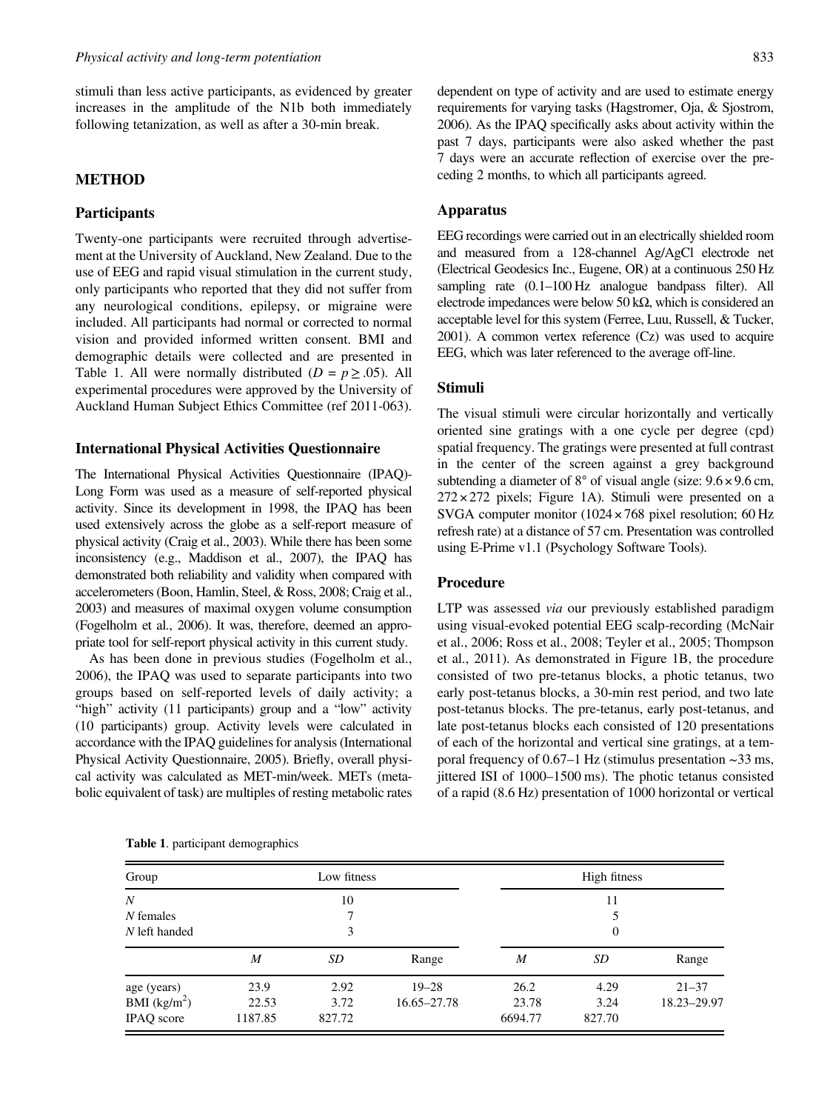stimuli than less active participants, as evidenced by greater increases in the amplitude of the N1b both immediately following tetanization, as well as after a 30-min break.

### METHOD

#### **Participants**

Twenty-one participants were recruited through advertisement at the University of Auckland, New Zealand. Due to the use of EEG and rapid visual stimulation in the current study, only participants who reported that they did not suffer from any neurological conditions, epilepsy, or migraine were included. All participants had normal or corrected to normal vision and provided informed written consent. BMI and demographic details were collected and are presented in Table 1. All were normally distributed ( $D = p \ge 0.05$ ). All experimental procedures were approved by the University of Auckland Human Subject Ethics Committee (ref 2011-063).

### International Physical Activities Questionnaire

The International Physical Activities Questionnaire (IPAQ)- Long Form was used as a measure of self-reported physical activity. Since its development in 1998, the IPAQ has been used extensively across the globe as a self-report measure of physical activity (Craig et al., [2003\)](#page-7-0). While there has been some inconsistency (e.g., Maddison et al., [2007\)](#page-8-0), the IPAQ has demonstrated both reliability and validity when compared with accelerometers (Boon, Hamlin, Steel, & Ross, [2008](#page-7-0); Craig et al., [2003\)](#page-7-0) and measures of maximal oxygen volume consumption (Fogelholm et al., [2006\)](#page-8-0). It was, therefore, deemed an appropriate tool for self-report physical activity in this current study.

As has been done in previous studies (Fogelholm et al., [2006\)](#page-8-0), the IPAQ was used to separate participants into two groups based on self-reported levels of daily activity; a "high" activity (11 participants) group and a "low" activity (10 participants) group. Activity levels were calculated in accordance with the IPAQ guidelines for analysis (International Physical Activity Questionnaire, [2005\)](#page-8-0). Briefly, overall physical activity was calculated as MET-min/week. METs (metabolic equivalent of task) are multiples of resting metabolic rates

dependent on type of activity and are used to estimate energy requirements for varying tasks (Hagstromer, Oja, & Sjostrom, [2006](#page-8-0)). As the IPAQ specifically asks about activity within the past 7 days, participants were also asked whether the past 7 days were an accurate reflection of exercise over the preceding 2 months, to which all participants agreed.

#### Apparatus

EEG recordings were carried out in an electrically shielded room and measured from a 128-channel Ag/AgCl electrode net (Electrical Geodesics Inc., Eugene, OR) at a continuous 250 Hz sampling rate (0.1–100 Hz analogue bandpass filter). All electrode impedances were below 50 k $\Omega$ , which is considered an acceptable level for this system (Ferree, Luu, Russell, & Tucker, [2001\)](#page-8-0). A common vertex reference (Cz) was used to acquire EEG, which was later referenced to the average off-line.

#### Stimuli

The visual stimuli were circular horizontally and vertically oriented sine gratings with a one cycle per degree (cpd) spatial frequency. The gratings were presented at full contrast in the center of the screen against a grey background subtending a diameter of  $8^{\circ}$  of visual angle (size:  $9.6 \times 9.6$  cm,  $272 \times 272$  pixels; [Figure 1A\)](#page-3-0). Stimuli were presented on a SVGA computer monitor (1024 × 768 pixel resolution; 60 Hz refresh rate) at a distance of 57 cm. Presentation was controlled using E-Prime v1.1 (Psychology Software Tools).

#### Procedure

LTP was assessed via our previously established paradigm using visual-evoked potential EEG scalp-recording (McNair et al., [2006;](#page-9-0) Ross et al., [2008;](#page-9-0) Teyler et al., [2005](#page-9-0); Thompson et al., [2011\)](#page-9-0). As demonstrated in [Figure 1B,](#page-3-0) the procedure consisted of two pre-tetanus blocks, a photic tetanus, two early post-tetanus blocks, a 30-min rest period, and two late post-tetanus blocks. The pre-tetanus, early post-tetanus, and late post-tetanus blocks each consisted of 120 presentations of each of the horizontal and vertical sine gratings, at a temporal frequency of  $0.67-1$  Hz (stimulus presentation  $\sim$ 33 ms, jittered ISI of 1000–1500 ms). The photic tetanus consisted of a rapid (8.6 Hz) presentation of 1000 horizontal or vertical

|  |  | <b>Table 1.</b> participant demographics |
|--|--|------------------------------------------|
|--|--|------------------------------------------|

| Group                    | Low fitness    |        |             | High fitness |        |             |
|--------------------------|----------------|--------|-------------|--------------|--------|-------------|
| $\boldsymbol{N}$         | 10             |        |             | 11           |        |             |
| N females                | 7              |        |             |              |        |             |
| N left handed            | 3              |        |             | $\Omega$     |        |             |
|                          | $\overline{M}$ | SD     | Range       | M            | SD     | Range       |
| age (years)              | 23.9           | 2.92   | $19 - 28$   | 26.2         | 4.29   | $21 - 37$   |
| BMI (kg/m <sup>2</sup> ) | 22.53          | 3.72   | 16.65–27.78 | 23.78        | 3.24   | 18.23-29.97 |
| IPAQ score               | 1187.85        | 827.72 |             | 6694.77      | 827.70 |             |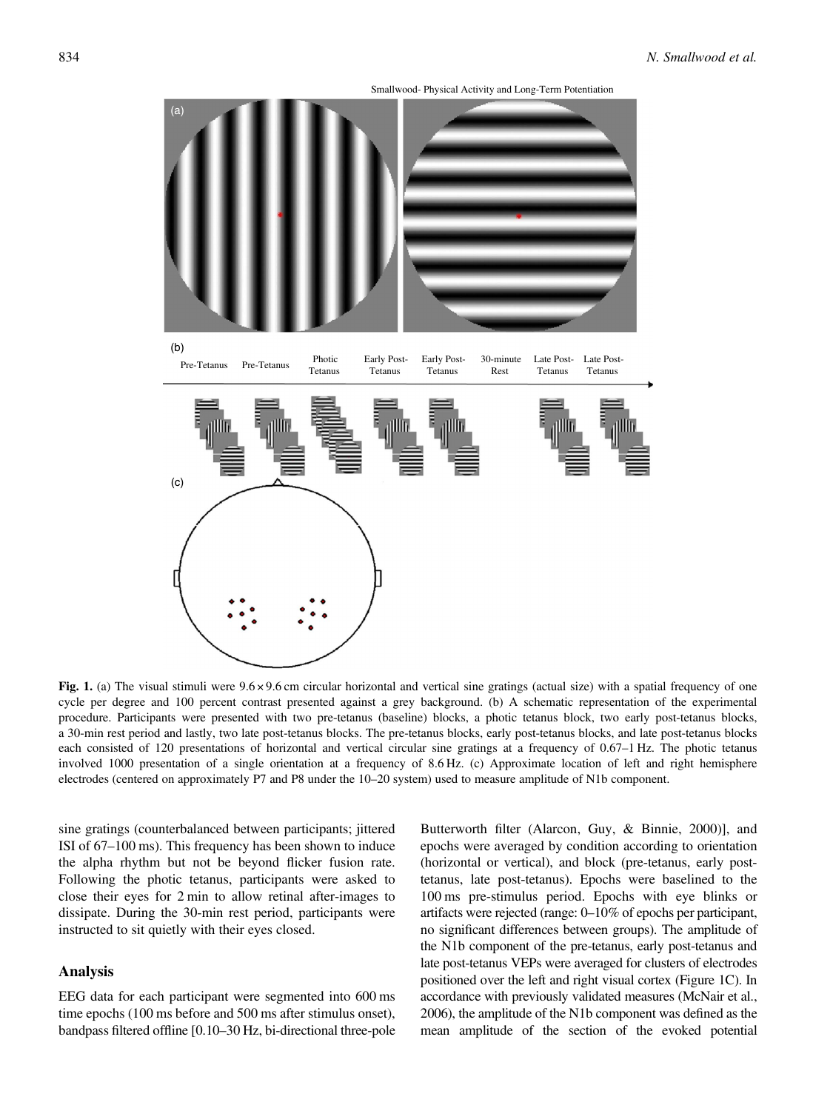Smallwood- Physical Activity and Long-Term Potentiation

<span id="page-3-0"></span>

Fig. 1. (a) The visual stimuli were 9.6 × 9.6 cm circular horizontal and vertical sine gratings (actual size) with a spatial frequency of one cycle per degree and 100 percent contrast presented against a grey background. (b) A schematic representation of the experimental procedure. Participants were presented with two pre-tetanus (baseline) blocks, a photic tetanus block, two early post-tetanus blocks, a 30-min rest period and lastly, two late post-tetanus blocks. The pre-tetanus blocks, early post-tetanus blocks, and late post-tetanus blocks each consisted of 120 presentations of horizontal and vertical circular sine gratings at a frequency of 0.67–1 Hz. The photic tetanus involved 1000 presentation of a single orientation at a frequency of 8.6 Hz. (c) Approximate location of left and right hemisphere electrodes (centered on approximately P7 and P8 under the 10–20 system) used to measure amplitude of N1b component.

sine gratings (counterbalanced between participants; jittered ISI of 67–100 ms). This frequency has been shown to induce the alpha rhythm but not be beyond flicker fusion rate. Following the photic tetanus, participants were asked to close their eyes for 2 min to allow retinal after-images to dissipate. During the 30-min rest period, participants were instructed to sit quietly with their eyes closed.

## Analysis

EEG data for each participant were segmented into 600 ms time epochs (100 ms before and 500 ms after stimulus onset), bandpass filtered offline [0.10–30 Hz, bi-directional three-pole

Butterworth filter (Alarcon, Guy, & Binnie, [2000](#page-7-0))], and epochs were averaged by condition according to orientation (horizontal or vertical), and block (pre-tetanus, early posttetanus, late post-tetanus). Epochs were baselined to the 100 ms pre-stimulus period. Epochs with eye blinks or artifacts were rejected (range: 0–10% of epochs per participant, no significant differences between groups). The amplitude of the N1b component of the pre-tetanus, early post-tetanus and late post-tetanus VEPs were averaged for clusters of electrodes positioned over the left and right visual cortex (Figure 1C). In accordance with previously validated measures (McNair et al., [2006](#page-9-0)), the amplitude of the N1b component was defined as the mean amplitude of the section of the evoked potential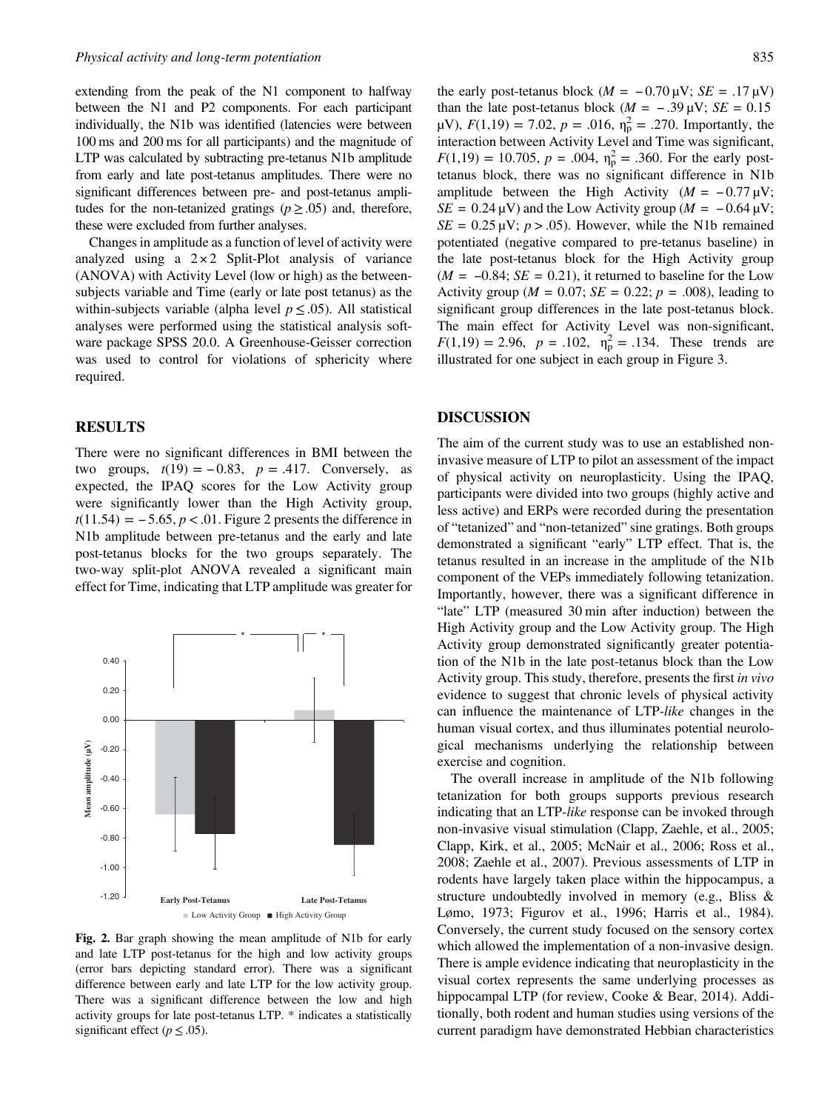extending from the peak of the N1 component to halfway between the N1 and P2 components. For each participant individually, the N1b was identified (latencies were between 100 ms and 200 ms for all participants) and the magnitude of LTP was calculated by subtracting pre-tetanus N1b amplitude from early and late post-tetanus amplitudes. There were no significant differences between pre- and post-tetanus amplitudes for the non-tetanized gratings ( $p \ge 0.05$ ) and, therefore, these were excluded from further analyses.

Changes in amplitude as a function of level of activity were analyzed using a  $2 \times 2$  Split-Plot analysis of variance (ANOVA) with Activity Level (low or high) as the betweensubjects variable and Time (early or late post tetanus) as the within-subjects variable (alpha level  $p \leq .05$ ). All statistical analyses were performed using the statistical analysis software package SPSS 20.0. A Greenhouse-Geisser correction was used to control for violations of sphericity where required.

## RESULTS

There were no significant differences in BMI between the **RESULTS**<br>There were no significant differences in BMI between the<br>two groups,  $t(19) = -0.83$ ,  $p = .417$ . Conversely, as expected, the IPAQ scores for the Low Activity group were significantly lower than the High Activity group, two groups,  $t(19) = -0.83$ ,  $p = .417$ . Conversely, as<br>expected, the IPAQ scores for the Low Activity group<br>were significantly lower than the High Activity group,<br> $t(11.54) = -5.65$ ,  $p < .01$ . Figure 2 presents the difference i N1b amplitude between pre-tetanus and the early and late post-tetanus blocks for the two groups separately. The two-way split-plot ANOVA revealed a significant main effect for Time, indicating that LTP amplitude was greater for



Fig. 2. Bar graph showing the mean amplitude of N1b for early and late LTP post-tetanus for the high and low activity groups (error bars depicting standard error). There was a significant difference between early and late LTP for the low activity group. There was a significant difference between the low and high activity groups for late post-tetanus LTP. \* indicates a statistically significant effect ( $p \leq .05$ ).

835<br>the early post-tetanus block ( $M = -0.70 \mu V$ ;  $SE = .17 \mu V$ ) than the late post-tetanus block ( $M = -.39 \,\mu\text{V}$ ;  $SE = 0.15$  $\mu$ V),  $F(1,19) = 7.02$ ,  $p = .016$ ,  $\eta_{\rm p}^2 = .270$ . Importantly, the interaction between Activity Level and Time was significant, Interaction between Activity Level and 1 ime was significant,<br>  $F(1,19) = 10.705$ ,  $p = .004$ ,  $η<sub>p</sub><sup>2</sup> = .360$ . For the early post-<br>
tetanus block, there was no significant difference in N1b<br>
amplitude between the Hig  $t(1,19) = 10.705$ ,  $p = .004$ ,  $n_p = .500$ . For the early post-<br>tetanus block, there was no significant difference in N1b<br>amplitude between the High Activity ( $M = -0.77 \mu V$ ;<br> $SE = 0.24 \mu V$ ) and the Low Activity group ( $M = -0.64 \mu$  $SE = 0.25 \mu V$ ;  $p > .05$ ). However, while the N1b remained potentiated (negative compared to pre-tetanus baseline) in the late post-tetanus block for the High Activity group  $(M = -0.84; SE = 0.21)$ , it returned to baseline for the Low Activity group ( $M = 0.07$ ;  $SE = 0.22$ ;  $p = .008$ ), leading to significant group differences in the late post-tetanus block. The main effect for Activity Level was non-significant,  $F(1,19) = 2.96$ ,  $p = .102$ ,  $\eta_p^2 = .134$ . These trends are illustrated for one subject in each group in [Figure 3.](#page-5-0)

## DISCUSSION

The aim of the current study was to use an established noninvasive measure of LTP to pilot an assessment of the impact of physical activity on neuroplasticity. Using the IPAQ, participants were divided into two groups (highly active and less active) and ERPs were recorded during the presentation of "tetanized" and "non-tetanized" sine gratings. Both groups demonstrated a significant "early" LTP effect. That is, the tetanus resulted in an increase in the amplitude of the N1b component of the VEPs immediately following tetanization. Importantly, however, there was a significant difference in "late" LTP (measured 30 min after induction) between the High Activity group and the Low Activity group. The High Activity group demonstrated significantly greater potentiation of the N1b in the late post-tetanus block than the Low Activity group. This study, therefore, presents the first in vivo evidence to suggest that chronic levels of physical activity can influence the maintenance of LTP-like changes in the human visual cortex, and thus illuminates potential neurological mechanisms underlying the relationship between exercise and cognition.

The overall increase in amplitude of the N1b following tetanization for both groups supports previous research indicating that an LTP-like response can be invoked through non-invasive visual stimulation (Clapp, Zaehle, et al., [2005](#page-7-0); Clapp, Kirk, et al., [2005](#page-7-0); McNair et al., [2006;](#page-9-0) Ross et al., [2008;](#page-9-0) Zaehle et al., [2007\)](#page-9-0). Previous assessments of LTP in rodents have largely taken place within the hippocampus, a structure undoubtedly involved in memory (e.g., Bliss & Lømo, [1973](#page-7-0); Figurov et al., [1996](#page-8-0); Harris et al., [1984](#page-8-0)). Conversely, the current study focused on the sensory cortex which allowed the implementation of a non-invasive design. There is ample evidence indicating that neuroplasticity in the visual cortex represents the same underlying processes as hippocampal LTP (for review, Cooke & Bear, [2014](#page-7-0)). Additionally, both rodent and human studies using versions of the current paradigm have demonstrated Hebbian characteristics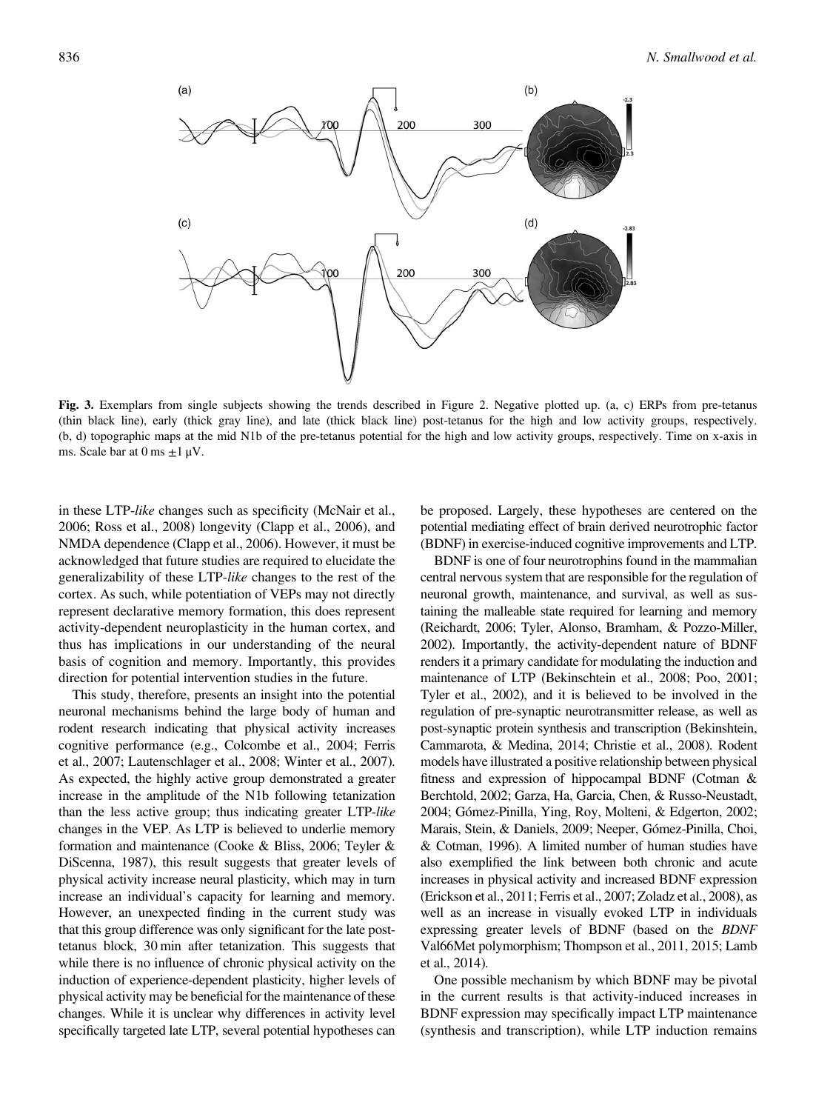<span id="page-5-0"></span>

Fig. 3. Exemplars from single subjects showing the trends described in Figure 2. Negative plotted up. (a, c) ERPs from pre-tetanus (thin black line), early (thick gray line), and late (thick black line) post-tetanus for the high and low activity groups, respectively. (b, d) topographic maps at the mid N1b of the pre-tetanus potential for the high and low activity groups, respectively. Time on x-axis in ms. Scale bar at  $0 \text{ ms } \pm 1 \text{ }\mu\text{V}$ .

in these LTP-like changes such as specificity (McNair et al., [2006;](#page-9-0) Ross et al., [2008\)](#page-9-0) longevity (Clapp et al., [2006\)](#page-7-0), and NMDA dependence (Clapp et al., [2006](#page-7-0)). However, it must be acknowledged that future studies are required to elucidate the generalizability of these LTP-like changes to the rest of the cortex. As such, while potentiation of VEPs may not directly represent declarative memory formation, this does represent activity-dependent neuroplasticity in the human cortex, and thus has implications in our understanding of the neural basis of cognition and memory. Importantly, this provides direction for potential intervention studies in the future.

This study, therefore, presents an insight into the potential neuronal mechanisms behind the large body of human and rodent research indicating that physical activity increases cognitive performance (e.g., Colcombe et al., [2004](#page-7-0); Ferris et al., [2007;](#page-8-0) Lautenschlager et al., [2008](#page-8-0); Winter et al., [2007](#page-9-0)). As expected, the highly active group demonstrated a greater increase in the amplitude of the N1b following tetanization than the less active group; thus indicating greater LTP-like changes in the VEP. As LTP is believed to underlie memory formation and maintenance (Cooke & Bliss, [2006;](#page-7-0) Teyler & DiScenna, [1987\)](#page-9-0), this result suggests that greater levels of physical activity increase neural plasticity, which may in turn increase an individual's capacity for learning and memory. However, an unexpected finding in the current study was that this group difference was only significant for the late posttetanus block, 30 min after tetanization. This suggests that while there is no influence of chronic physical activity on the induction of experience-dependent plasticity, higher levels of physical activity may be beneficial for the maintenance of these changes. While it is unclear why differences in activity level specifically targeted late LTP, several potential hypotheses can

be proposed. Largely, these hypotheses are centered on the potential mediating effect of brain derived neurotrophic factor (BDNF) in exercise-induced cognitive improvements and LTP.

BDNF is one of four neurotrophins found in the mammalian central nervous system that are responsible for the regulation of neuronal growth, maintenance, and survival, as well as sustaining the malleable state required for learning and memory (Reichardt, [2006](#page-9-0); Tyler, Alonso, Bramham, & Pozzo-Miller, [2002](#page-9-0)). Importantly, the activity-dependent nature of BDNF renders it a primary candidate for modulating the induction and maintenance of LTP (Bekinschtein et al., [2008](#page-7-0); Poo, [2001](#page-9-0); Tyler et al., [2002](#page-9-0)), and it is believed to be involved in the regulation of pre-synaptic neurotransmitter release, as well as post-synaptic protein synthesis and transcription (Bekinshtein, Cammarota, & Medina, [2014](#page-7-0); Christie et al., [2008\)](#page-7-0). Rodent models have illustrated a positive relationship between physical fitness and expression of hippocampal BDNF (Cotman & Berchtold, [2002;](#page-7-0) Garza, Ha, Garcia, Chen, & Russo-Neustadt, [2004](#page-8-0); Gómez-Pinilla, Ying, Roy, Molteni, & Edgerton, [2002](#page-8-0); Marais, Stein, & Daniels, [2009](#page-9-0); Neeper, Gómez-Pinilla, Choi, & Cotman, [1996\)](#page-9-0). A limited number of human studies have also exemplified the link between both chronic and acute increases in physical activity and increased BDNF expression (Erickson et al., [2011](#page-8-0); Ferris et al., [2007](#page-8-0); Zoladz et al., [2008\)](#page-9-0), as well as an increase in visually evoked LTP in individuals expressing greater levels of BDNF (based on the BDNF Val66Met polymorphism; Thompson et al., [2011](#page-9-0), 2015; Lamb et al., [2014\)](#page-8-0).

One possible mechanism by which BDNF may be pivotal in the current results is that activity-induced increases in BDNF expression may specifically impact LTP maintenance (synthesis and transcription), while LTP induction remains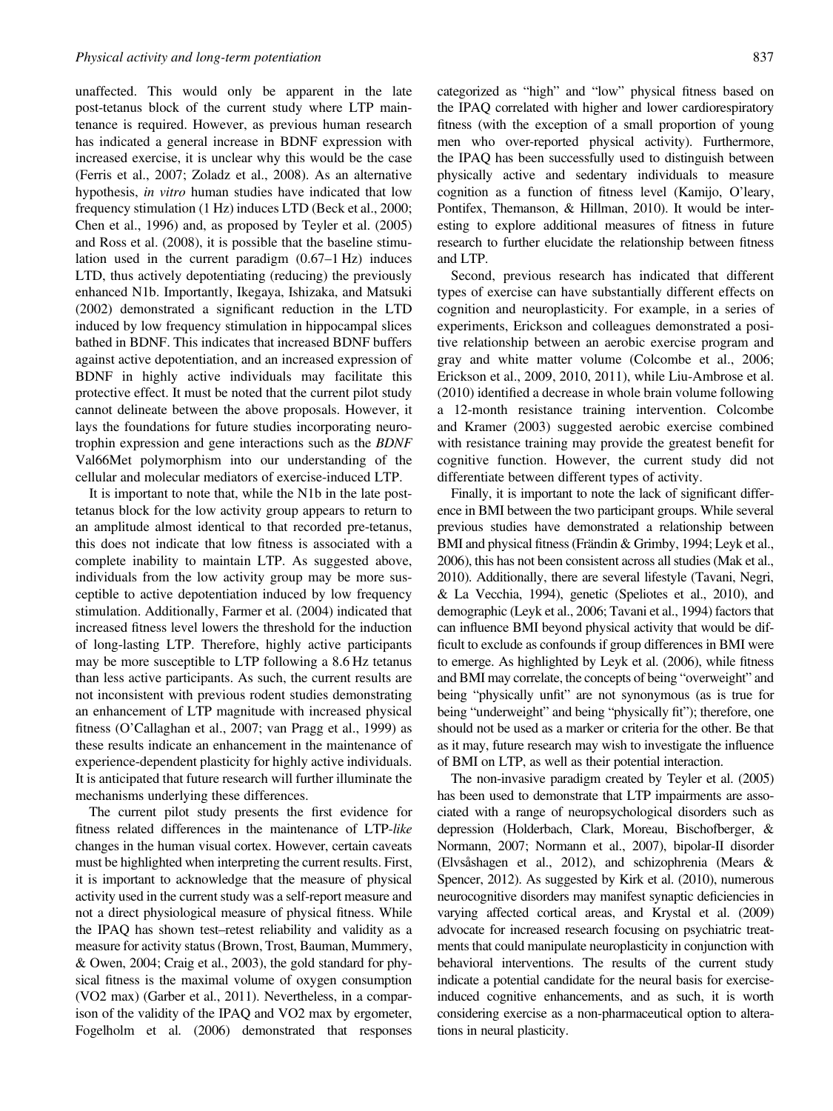unaffected. This would only be apparent in the late post-tetanus block of the current study where LTP maintenance is required. However, as previous human research has indicated a general increase in BDNF expression with increased exercise, it is unclear why this would be the case (Ferris et al., [2007](#page-8-0); Zoladz et al., [2008\)](#page-9-0). As an alternative hypothesis, in vitro human studies have indicated that low frequency stimulation (1 Hz) induces LTD (Beck et al., [2000](#page-7-0); Chen et al., [1996\)](#page-7-0) and, as proposed by Teyler et al. ([2005\)](#page-9-0) and Ross et al. [\(2008\)](#page-9-0), it is possible that the baseline stimulation used in the current paradigm (0.67–1 Hz) induces LTD, thus actively depotentiating (reducing) the previously enhanced N1b. Importantly, Ikegaya, Ishizaka, and Matsuki [\(2002\)](#page-8-0) demonstrated a significant reduction in the LTD induced by low frequency stimulation in hippocampal slices bathed in BDNF. This indicates that increased BDNF buffers against active depotentiation, and an increased expression of BDNF in highly active individuals may facilitate this protective effect. It must be noted that the current pilot study cannot delineate between the above proposals. However, it lays the foundations for future studies incorporating neurotrophin expression and gene interactions such as the BDNF Val66Met polymorphism into our understanding of the cellular and molecular mediators of exercise-induced LTP.

It is important to note that, while the N1b in the late posttetanus block for the low activity group appears to return to an amplitude almost identical to that recorded pre-tetanus, this does not indicate that low fitness is associated with a complete inability to maintain LTP. As suggested above, individuals from the low activity group may be more susceptible to active depotentiation induced by low frequency stimulation. Additionally, Farmer et al. (2004) indicated that increased fitness level lowers the threshold for the induction of long-lasting LTP. Therefore, highly active participants may be more susceptible to LTP following a 8.6 Hz tetanus than less active participants. As such, the current results are not inconsistent with previous rodent studies demonstrating an enhancement of LTP magnitude with increased physical fitness (O'Callaghan et al., [2007](#page-9-0); van Pragg et al., 1999) as these results indicate an enhancement in the maintenance of experience-dependent plasticity for highly active individuals. It is anticipated that future research will further illuminate the mechanisms underlying these differences.

The current pilot study presents the first evidence for fitness related differences in the maintenance of LTP-like changes in the human visual cortex. However, certain caveats must be highlighted when interpreting the current results. First, it is important to acknowledge that the measure of physical activity used in the current study was a self-report measure and not a direct physiological measure of physical fitness. While the IPAQ has shown test–retest reliability and validity as a measure for activity status (Brown, Trost, Bauman, Mummery, & Owen, [2004;](#page-7-0) Craig et al., [2003\)](#page-7-0), the gold standard for physical fitness is the maximal volume of oxygen consumption (VO2 max) (Garber et al., [2011\)](#page-8-0). Nevertheless, in a comparison of the validity of the IPAQ and VO2 max by ergometer, Fogelholm et al. [\(2006\)](#page-8-0) demonstrated that responses

categorized as "high" and "low" physical fitness based on the IPAQ correlated with higher and lower cardiorespiratory fitness (with the exception of a small proportion of young men who over-reported physical activity). Furthermore, the IPAQ has been successfully used to distinguish between physically active and sedentary individuals to measure cognition as a function of fitness level (Kamijo, O'leary, Pontifex, Themanson, & Hillman, [2010](#page-8-0)). It would be interesting to explore additional measures of fitness in future research to further elucidate the relationship between fitness and LTP.

Second, previous research has indicated that different types of exercise can have substantially different effects on cognition and neuroplasticity. For example, in a series of experiments, Erickson and colleagues demonstrated a positive relationship between an aerobic exercise program and gray and white matter volume (Colcombe et al., [2006](#page-7-0); Erickson et al., [2009, 2010,](#page-7-0) [2011](#page-8-0)), while Liu-Ambrose et al. [\(2010\)](#page-8-0) identified a decrease in whole brain volume following a 12-month resistance training intervention. Colcombe and Kramer [\(2003](#page-7-0)) suggested aerobic exercise combined with resistance training may provide the greatest benefit for cognitive function. However, the current study did not differentiate between different types of activity.

Finally, it is important to note the lack of significant difference in BMI between the two participant groups. While several previous studies have demonstrated a relationship between BMI and physical fitness (Frändin & Grimby, [1994](#page-8-0); Leyk et al., [2006](#page-8-0)), this has not been consistent across all studies (Mak et al., [2010](#page-8-0)). Additionally, there are several lifestyle (Tavani, Negri, & La Vecchia, [1994](#page-9-0)), genetic (Speliotes et al., [2010\)](#page-9-0), and demographic (Leyk et al., [2006](#page-8-0); Tavani et al., [1994\)](#page-9-0) factors that can influence BMI beyond physical activity that would be difficult to exclude as confounds if group differences in BMI were to emerge. As highlighted by Leyk et al. ([2006](#page-8-0)), while fitness and BMI may correlate, the concepts of being "overweight" and being "physically unfit" are not synonymous (as is true for being "underweight" and being "physically fit"); therefore, one should not be used as a marker or criteria for the other. Be that as it may, future research may wish to investigate the influence of BMI on LTP, as well as their potential interaction.

The non-invasive paradigm created by Teyler et al. ([2005\)](#page-9-0) has been used to demonstrate that LTP impairments are associated with a range of neuropsychological disorders such as depression (Holderbach, Clark, Moreau, Bischofberger, & Normann, [2007](#page-8-0); Normann et al., [2007](#page-9-0)), bipolar-II disorder (Elvsåshagen et al., [2012](#page-7-0)), and schizophrenia (Mears & Spencer, [2012\)](#page-9-0). As suggested by Kirk et al. ([2010\)](#page-8-0), numerous neurocognitive disorders may manifest synaptic deficiencies in varying affected cortical areas, and Krystal et al. ([2009\)](#page-8-0) advocate for increased research focusing on psychiatric treatments that could manipulate neuroplasticity in conjunction with behavioral interventions. The results of the current study indicate a potential candidate for the neural basis for exerciseinduced cognitive enhancements, and as such, it is worth considering exercise as a non-pharmaceutical option to alterations in neural plasticity.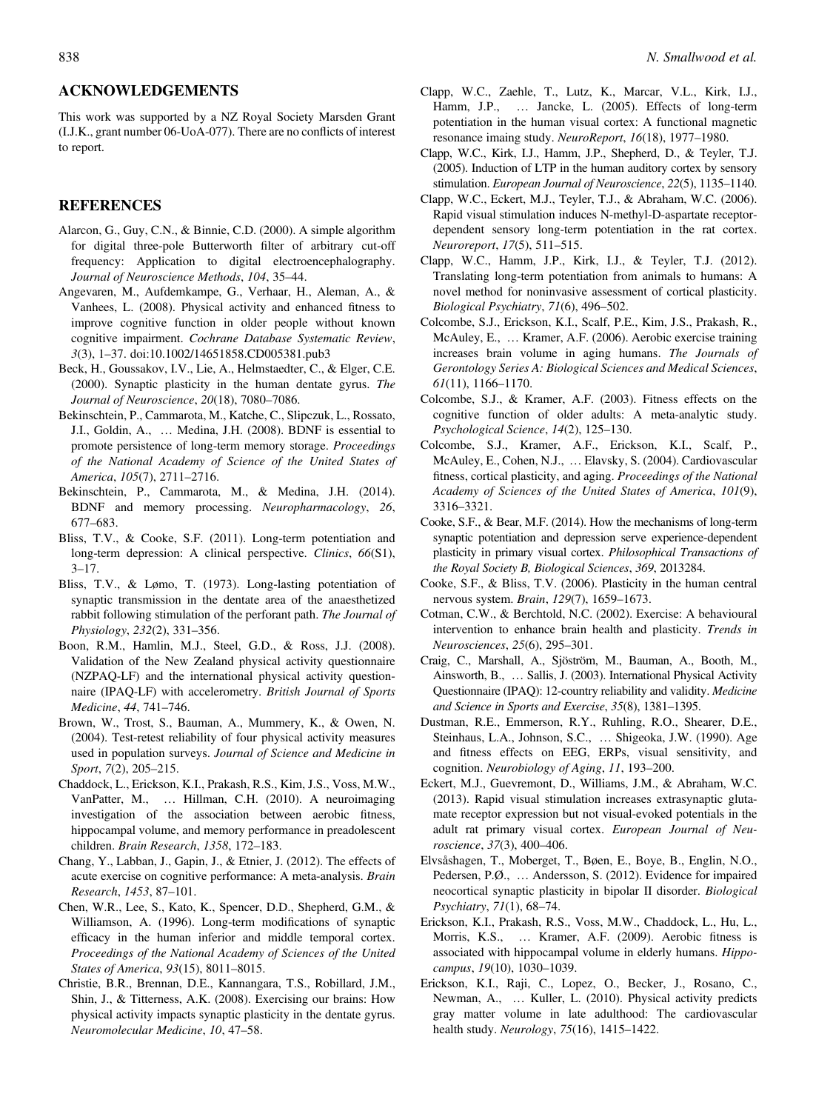#### <span id="page-7-0"></span>ACKNOWLEDGEMENTS

This work was supported by a NZ Royal Society Marsden Grant (I.J.K., grant number 06-UoA-077). There are no conflicts of interest to report.

#### REFERENCES

- Alarcon, G., Guy, C.N., & Binnie, C.D. (2000). A simple algorithm for digital three-pole Butterworth filter of arbitrary cut-off frequency: Application to digital electroencephalography. Journal of Neuroscience Methods, 104, 35–44.
- Angevaren, M., Aufdemkampe, G., Verhaar, H., Aleman, A., & Vanhees, L. (2008). Physical activity and enhanced fitness to improve cognitive function in older people without known cognitive impairment. Cochrane Database Systematic Review, 3(3), 1–37. doi:10.1002/14651858.CD005381.pub3
- Beck, H., Goussakov, I.V., Lie, A., Helmstaedter, C., & Elger, C.E. (2000). Synaptic plasticity in the human dentate gyrus. The Journal of Neuroscience, 20(18), 7080–7086.
- Bekinschtein, P., Cammarota, M., Katche, C., Slipczuk, L., Rossato, J.I., Goldin, A., … Medina, J.H. (2008). BDNF is essential to promote persistence of long-term memory storage. Proceedings of the National Academy of Science of the United States of America, 105(7), 2711–2716.
- Bekinschtein, P., Cammarota, M., & Medina, J.H. (2014). BDNF and memory processing. Neuropharmacology, 26, 677–683.
- Bliss, T.V., & Cooke, S.F. (2011). Long-term potentiation and long-term depression: A clinical perspective. Clinics, 66(S1), 3–17.
- Bliss, T.V., & Lømo, T. (1973). Long-lasting potentiation of synaptic transmission in the dentate area of the anaesthetized rabbit following stimulation of the perforant path. The Journal of Physiology, 232(2), 331–356.
- Boon, R.M., Hamlin, M.J., Steel, G.D., & Ross, J.J. (2008). Validation of the New Zealand physical activity questionnaire (NZPAQ-LF) and the international physical activity questionnaire (IPAQ-LF) with accelerometry. British Journal of Sports Medicine, 44, 741–746.
- Brown, W., Trost, S., Bauman, A., Mummery, K., & Owen, N. (2004). Test-retest reliability of four physical activity measures used in population surveys. Journal of Science and Medicine in Sport, 7(2), 205–215.
- Chaddock, L., Erickson, K.I., Prakash, R.S., Kim, J.S., Voss, M.W., VanPatter, M., … Hillman, C.H. (2010). A neuroimaging investigation of the association between aerobic fitness, hippocampal volume, and memory performance in preadolescent children. Brain Research, 1358, 172–183.
- Chang, Y., Labban, J., Gapin, J., & Etnier, J. (2012). The effects of acute exercise on cognitive performance: A meta-analysis. Brain Research, 1453, 87–101.
- Chen, W.R., Lee, S., Kato, K., Spencer, D.D., Shepherd, G.M., & Williamson, A. (1996). Long-term modifications of synaptic efficacy in the human inferior and middle temporal cortex. Proceedings of the National Academy of Sciences of the United States of America, 93(15), 8011–8015.
- Christie, B.R., Brennan, D.E., Kannangara, T.S., Robillard, J.M., Shin, J., & Titterness, A.K. (2008). Exercising our brains: How physical activity impacts synaptic plasticity in the dentate gyrus. Neuromolecular Medicine, 10, 47–58.
- Clapp, W.C., Zaehle, T., Lutz, K., Marcar, V.L., Kirk, I.J., Hamm, J.P., ... Jancke, L. (2005). Effects of long-term potentiation in the human visual cortex: A functional magnetic resonance imaing study. NeuroReport, 16(18), 1977-1980.
- Clapp, W.C., Kirk, I.J., Hamm, J.P., Shepherd, D., & Teyler, T.J. (2005). Induction of LTP in the human auditory cortex by sensory stimulation. European Journal of Neuroscience, 22(5), 1135–1140.
- Clapp, W.C., Eckert, M.J., Teyler, T.J., & Abraham, W.C. (2006). Rapid visual stimulation induces N-methyl-D-aspartate receptordependent sensory long-term potentiation in the rat cortex. Neuroreport, 17(5), 511–515.
- Clapp, W.C., Hamm, J.P., Kirk, I.J., & Teyler, T.J. (2012). Translating long-term potentiation from animals to humans: A novel method for noninvasive assessment of cortical plasticity. Biological Psychiatry, 71(6), 496–502.
- Colcombe, S.J., Erickson, K.I., Scalf, P.E., Kim, J.S., Prakash, R., McAuley, E., … Kramer, A.F. (2006). Aerobic exercise training increases brain volume in aging humans. The Journals of Gerontology Series A: Biological Sciences and Medical Sciences, 61(11), 1166–1170.
- Colcombe, S.J., & Kramer, A.F. (2003). Fitness effects on the cognitive function of older adults: A meta-analytic study. Psychological Science, 14(2), 125–130.
- Colcombe, S.J., Kramer, A.F., Erickson, K.I., Scalf, P., McAuley, E., Cohen, N.J., … Elavsky, S. (2004). Cardiovascular fitness, cortical plasticity, and aging. Proceedings of the National Academy of Sciences of the United States of America, 101(9), 3316–3321.
- Cooke, S.F., & Bear, M.F. (2014). How the mechanisms of long-term synaptic potentiation and depression serve experience-dependent plasticity in primary visual cortex. Philosophical Transactions of the Royal Society B, Biological Sciences, 369, 2013284.
- Cooke, S.F., & Bliss, T.V. (2006). Plasticity in the human central nervous system. Brain, 129(7), 1659–1673.
- Cotman, C.W., & Berchtold, N.C. (2002). Exercise: A behavioural intervention to enhance brain health and plasticity. Trends in Neurosciences, 25(6), 295–301.
- Craig, C., Marshall, A., Sjöström, M., Bauman, A., Booth, M., Ainsworth, B., … Sallis, J. (2003). International Physical Activity Questionnaire (IPAQ): 12-country reliability and validity. Medicine and Science in Sports and Exercise, 35(8), 1381–1395.
- Dustman, R.E., Emmerson, R.Y., Ruhling, R.O., Shearer, D.E., Steinhaus, L.A., Johnson, S.C., … Shigeoka, J.W. (1990). Age and fitness effects on EEG, ERPs, visual sensitivity, and cognition. Neurobiology of Aging, 11, 193–200.
- Eckert, M.J., Guevremont, D., Williams, J.M., & Abraham, W.C. (2013). Rapid visual stimulation increases extrasynaptic glutamate receptor expression but not visual-evoked potentials in the adult rat primary visual cortex. European Journal of Neuroscience, 37(3), 400–406.
- Elvsåshagen, T., Moberget, T., Bøen, E., Boye, B., Englin, N.O., Pedersen, P.Ø., … Andersson, S. (2012). Evidence for impaired neocortical synaptic plasticity in bipolar II disorder. Biological Psychiatry, 71(1), 68–74.
- Erickson, K.I., Prakash, R.S., Voss, M.W., Chaddock, L., Hu, L., Morris, K.S., … Kramer, A.F. (2009). Aerobic fitness is associated with hippocampal volume in elderly humans. Hippocampus, 19(10), 1030–1039.
- Erickson, K.I., Raji, C., Lopez, O., Becker, J., Rosano, C., Newman, A., … Kuller, L. (2010). Physical activity predicts gray matter volume in late adulthood: The cardiovascular health study. Neurology, 75(16), 1415-1422.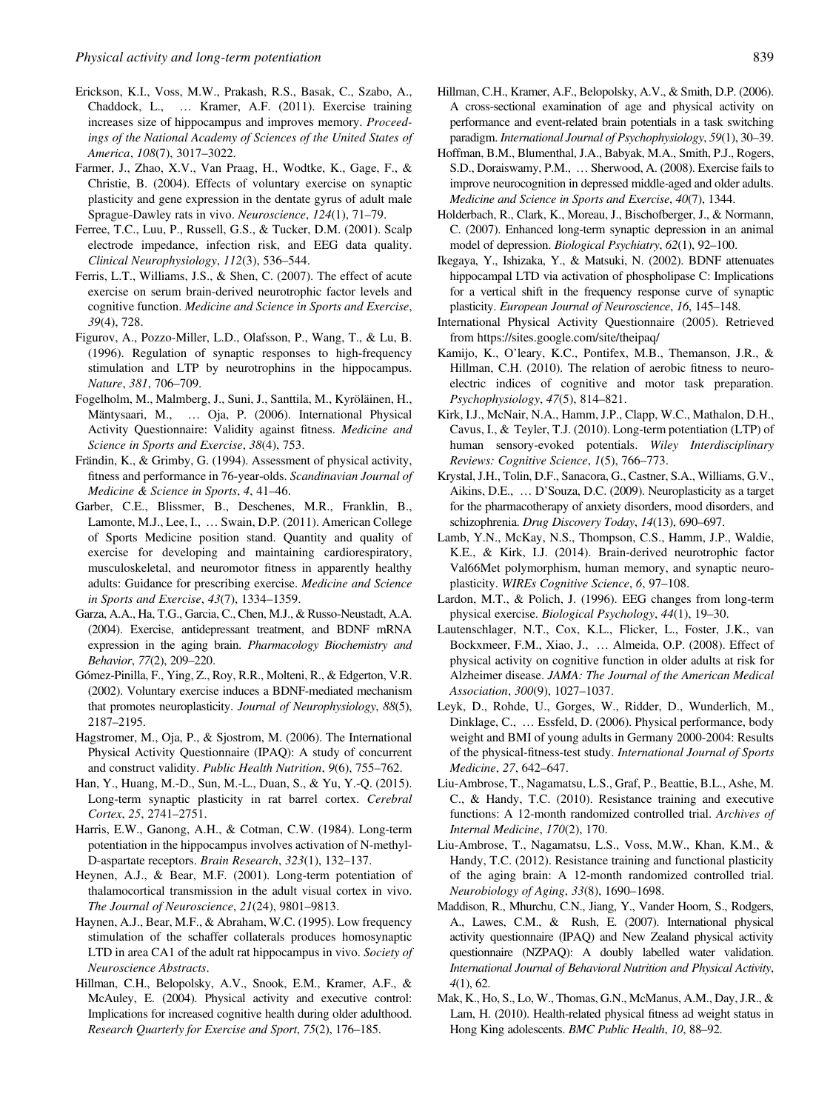- <span id="page-8-0"></span>Erickson, K.I., Voss, M.W., Prakash, R.S., Basak, C., Szabo, A., Chaddock, L., … Kramer, A.F. (2011). Exercise training increases size of hippocampus and improves memory. Proceedings of the National Academy of Sciences of the United States of America, 108(7), 3017–3022.
- Farmer, J., Zhao, X.V., Van Praag, H., Wodtke, K., Gage, F., & Christie, B. (2004). Effects of voluntary exercise on synaptic plasticity and gene expression in the dentate gyrus of adult male Sprague-Dawley rats in vivo. Neuroscience, 124(1), 71–79.
- Ferree, T.C., Luu, P., Russell, G.S., & Tucker, D.M. (2001). Scalp electrode impedance, infection risk, and EEG data quality. Clinical Neurophysiology, 112(3), 536–544.
- Ferris, L.T., Williams, J.S., & Shen, C. (2007). The effect of acute exercise on serum brain-derived neurotrophic factor levels and cognitive function. Medicine and Science in Sports and Exercise, 39(4), 728.
- Figurov, A., Pozzo-Miller, L.D., Olafsson, P., Wang, T., & Lu, B. (1996). Regulation of synaptic responses to high-frequency stimulation and LTP by neurotrophins in the hippocampus. Nature, 381, 706–709.
- Fogelholm, M., Malmberg, J., Suni, J., Santtila, M., Kyröläinen, H., Mäntysaari, M., … Oja, P. (2006). International Physical Activity Questionnaire: Validity against fitness. Medicine and Science in Sports and Exercise, 38(4), 753.
- Frändin, K., & Grimby, G. (1994). Assessment of physical activity, fitness and performance in 76-year-olds. Scandinavian Journal of Medicine & Science in Sports, 4, 41–46.
- Garber, C.E., Blissmer, B., Deschenes, M.R., Franklin, B., Lamonte, M.J., Lee, I., … Swain, D.P. (2011). American College of Sports Medicine position stand. Quantity and quality of exercise for developing and maintaining cardiorespiratory, musculoskeletal, and neuromotor fitness in apparently healthy adults: Guidance for prescribing exercise. Medicine and Science in Sports and Exercise, 43(7), 1334–1359.
- Garza, A.A., Ha, T.G., Garcia, C., Chen, M.J., & Russo-Neustadt, A.A. (2004). Exercise, antidepressant treatment, and BDNF mRNA expression in the aging brain. Pharmacology Biochemistry and Behavior, 77(2), 209–220.
- Gómez-Pinilla, F., Ying, Z., Roy, R.R., Molteni, R., & Edgerton, V.R. (2002). Voluntary exercise induces a BDNF-mediated mechanism that promotes neuroplasticity. Journal of Neurophysiology, 88(5), 2187–2195.
- Hagstromer, M., Oja, P., & Sjostrom, M. (2006). The International Physical Activity Questionnaire (IPAQ): A study of concurrent and construct validity. Public Health Nutrition, 9(6), 755–762.
- Han, Y., Huang, M.-D., Sun, M.-L., Duan, S., & Yu, Y.-Q. (2015). Long-term synaptic plasticity in rat barrel cortex. Cerebral Cortex, 25, 2741–2751.
- Harris, E.W., Ganong, A.H., & Cotman, C.W. (1984). Long-term potentiation in the hippocampus involves activation of N-methyl-D-aspartate receptors. Brain Research, 323(1), 132–137.
- Heynen, A.J., & Bear, M.F. (2001). Long-term potentiation of thalamocortical transmission in the adult visual cortex in vivo. The Journal of Neuroscience, 21(24), 9801–9813.
- Haynen, A.J., Bear, M.F., & Abraham, W.C. (1995). Low frequency stimulation of the schaffer collaterals produces homosynaptic LTD in area CA1 of the adult rat hippocampus in vivo. Society of Neuroscience Abstracts.
- Hillman, C.H., Belopolsky, A.V., Snook, E.M., Kramer, A.F., & McAuley, E. (2004). Physical activity and executive control: Implications for increased cognitive health during older adulthood. Research Quarterly for Exercise and Sport, 75(2), 176–185.
- Hillman, C.H., Kramer, A.F., Belopolsky, A.V., & Smith, D.P. (2006). A cross-sectional examination of age and physical activity on performance and event-related brain potentials in a task switching paradigm. International Journal of Psychophysiology, 59(1), 30–39.
- Hoffman, B.M., Blumenthal, J.A., Babyak, M.A., Smith, P.J., Rogers, S.D., Doraiswamy, P.M., … Sherwood, A. (2008). Exercise fails to improve neurocognition in depressed middle-aged and older adults. Medicine and Science in Sports and Exercise, 40(7), 1344.
- Holderbach, R., Clark, K., Moreau, J., Bischofberger, J., & Normann, C. (2007). Enhanced long-term synaptic depression in an animal model of depression. Biological Psychiatry, 62(1), 92–100.
- Ikegaya, Y., Ishizaka, Y., & Matsuki, N. (2002). BDNF attenuates hippocampal LTD via activation of phospholipase C: Implications for a vertical shift in the frequency response curve of synaptic plasticity. European Journal of Neuroscience, 16, 145–148.
- International Physical Activity Questionnaire (2005). Retrieved from<https://sites.google.com/site/theipaq/>
- Kamijo, K., O'leary, K.C., Pontifex, M.B., Themanson, J.R., & Hillman, C.H. (2010). The relation of aerobic fitness to neuroelectric indices of cognitive and motor task preparation. Psychophysiology, 47(5), 814–821.
- Kirk, I.J., McNair, N.A., Hamm, J.P., Clapp, W.C., Mathalon, D.H., Cavus, I., & Teyler, T.J. (2010). Long-term potentiation (LTP) of human sensory-evoked potentials. Wiley Interdisciplinary Reviews: Cognitive Science, 1(5), 766–773.
- Krystal, J.H., Tolin, D.F., Sanacora, G., Castner, S.A., Williams, G.V., Aikins, D.E., … D'Souza, D.C. (2009). Neuroplasticity as a target for the pharmacotherapy of anxiety disorders, mood disorders, and schizophrenia. Drug Discovery Today, 14(13), 690-697.
- Lamb, Y.N., McKay, N.S., Thompson, C.S., Hamm, J.P., Waldie, K.E., & Kirk, I.J. (2014). Brain-derived neurotrophic factor Val66Met polymorphism, human memory, and synaptic neuroplasticity. WIREs Cognitive Science, 6, 97–108.
- Lardon, M.T., & Polich, J. (1996). EEG changes from long-term physical exercise. Biological Psychology, 44(1), 19–30.
- Lautenschlager, N.T., Cox, K.L., Flicker, L., Foster, J.K., van Bockxmeer, F.M., Xiao, J., … Almeida, O.P. (2008). Effect of physical activity on cognitive function in older adults at risk for Alzheimer disease. JAMA: The Journal of the American Medical Association, 300(9), 1027–1037.
- Leyk, D., Rohde, U., Gorges, W., Ridder, D., Wunderlich, M., Dinklage, C., … Essfeld, D. (2006). Physical performance, body weight and BMI of young adults in Germany 2000-2004: Results of the physical-fitness-test study. International Journal of Sports Medicine, 27, 642–647.
- Liu-Ambrose, T., Nagamatsu, L.S., Graf, P., Beattie, B.L., Ashe, M. C., & Handy, T.C. (2010). Resistance training and executive functions: A 12-month randomized controlled trial. Archives of Internal Medicine, 170(2), 170.
- Liu-Ambrose, T., Nagamatsu, L.S., Voss, M.W., Khan, K.M., & Handy, T.C. (2012). Resistance training and functional plasticity of the aging brain: A 12-month randomized controlled trial. Neurobiology of Aging, 33(8), 1690–1698.
- Maddison, R., Mhurchu, C.N., Jiang, Y., Vander Hoorn, S., Rodgers, A., Lawes, C.M., & Rush, E. (2007). International physical activity questionnaire (IPAQ) and New Zealand physical activity questionnaire (NZPAQ): A doubly labelled water validation. International Journal of Behavioral Nutrition and Physical Activity, 4(1), 62.
- Mak, K., Ho, S., Lo, W., Thomas, G.N., McManus, A.M., Day, J.R., & Lam, H. (2010). Health-related physical fitness ad weight status in Hong King adolescents. BMC Public Health, 10, 88–92.